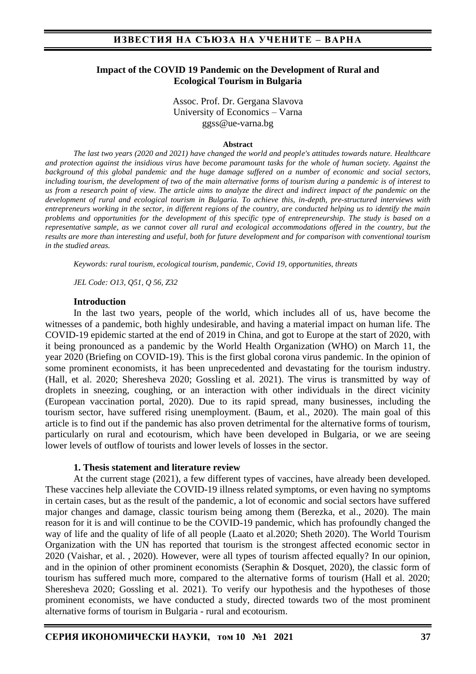### **Impact of the COVID 19 Pandemic on the Development of Rural and Ecological Tourism in Bulgaria**

Assoc. Prof. Dr. Gergana Slavova University of Economics – Varna ggss@ue-varna.bg

#### **Abstract**

*The last two years (2020 and 2021) have changed the world and people's attitudes towards nature. Healthcare and protection against the insidious virus have become paramount tasks for the whole of human society. Against the background of this global pandemic and the huge damage suffered on a number of economic and social sectors, including tourism, the development of two of the main alternative forms of tourism during a pandemic is of interest to us from a research point of view. The article aims to analyze the direct and indirect impact of the pandemic on the development of rural and ecological tourism in Bulgaria. To achieve this, in-depth, pre-structured interviews with entrepreneurs working in the sector, in different regions of the country, are conducted helping us to identify the main problems and opportunities for the development of this specific type of entrepreneurship. The study is based on a representative sample, as we cannot cover all rural and ecological accommodations offered in the country, but the results are more than interesting and useful, both for future development and for comparison with conventional tourism in the studied areas.*

*Keywords: rural tourism, ecological tourism, pandemic, Covid 19, opportunities, threats*

*JEL Code: O13, Q51, Q 56, Z32*

### **Introduction**

In the last two years, people of the world, which includes all of us, have become the witnesses of a pandemic, both highly undesirable, and having a material impact on human life. The COVID-19 epidemic started at the end of 2019 in China, and got to Europe at the start of 2020, with it being pronounced as a pandemic by the World Health Organization (WHO) on March 11, the year 2020 (Briefing on COVID-19). This is the first global corona virus pandemic. In the opinion of some prominent economists, it has been unprecedented and devastating for the tourism industry. (Hall, et al. 2020; Sheresheva 2020; Gossling et al. 2021). The virus is transmitted by way of droplets in sneezing, coughing, or an interaction with other individuals in the direct vicinity (European vaccination portal, 2020). Due to its rapid spread, many businesses, including the tourism sector, have suffered rising unemployment. (Baum, et al., 2020). The main goal of this article is to find out if the pandemic has also proven detrimental for the alternative forms of tourism, particularly on rural and ecotourism, which have been developed in Bulgaria, or we are seeing lower levels of outflow of tourists and lower levels of losses in the sector.

### **1. Thesis statement and literature review**

At the current stage (2021), a few different types of vaccines, have already been developed. These vaccines help alleviate the COVID-19 illness related symptoms, or even having no symptoms in certain cases, but as the result of the pandemic, a lot of economic and social sectors have suffered major changes and damage, classic tourism being among them (Berezka, et al., 2020). The main reason for it is and will continue to be the COVID-19 pandemic, which has profoundly changed the way of life and the quality of life of all people (Laato et al.2020; Sheth 2020). The World Tourism Organization with the UN has reported that tourism is the strongest affected economic sector in 2020 (Vaishar, et al. , 2020). However, were all types of tourism affected equally? In our opinion, and in the opinion of other prominent economists (Seraphin & Dosquet, 2020), the classic form of tourism has suffered much more, compared to the alternative forms of tourism (Hall et al. 2020; Sheresheva 2020; Gossling et al. 2021). To verify our hypothesis and the hypotheses of those prominent economists, we have conducted a study, directed towards two of the most prominent alternative forms of tourism in Bulgaria - rural and ecotourism.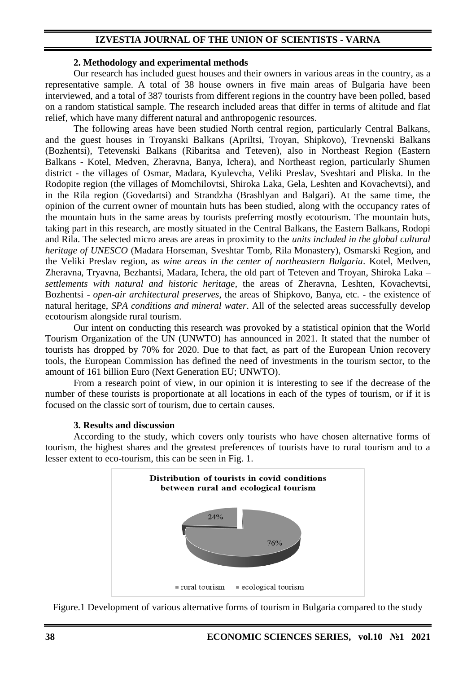## **IZVESTIA JOURNAL OF THE UNION OF SCIENTISTS - VARNA**

### **2. Methodology and experimental methods**

Our research has included guest houses and their owners in various areas in the country, as a representative sample. A total of 38 house owners in five main areas of Bulgaria have been interviewed, and a total of 387 tourists from different regions in the country have been polled, based on a random statistical sample. The research included areas that differ in terms of altitude and flat relief, which have many different natural and anthropogenic resources.

The following areas have been studied North central region, particularly Central Balkans, and the guest houses in Troyanski Balkans (Apriltsi, Troyan, Shipkovo), Trevnenski Balkans (Bozhentsi), Tetevenski Balkans (Ribaritsa and Teteven), also in Northeast Region (Eastern Balkans - Kotel, Medven, Zheravna, Banya, Ichera), and Northeast region, particularly Shumen district - the villages of Osmar, Madara, Kyulevcha, Veliki Preslav, Sveshtari and Pliska. In the Rodopite region (the villages of Momchilovtsi, Shiroka Laka, Gela, Leshten and Kovachevtsi), and in the Rila region (Govedartsi) and Strandzha (Brashlyan and Balgari). At the same time, the opinion of the current owner of mountain huts has been studied, along with the occupancy rates of the mountain huts in the same areas by tourists preferring mostly ecotourism. The mountain huts, taking part in this research, are mostly situated in the Central Balkans, the Eastern Balkans, Rodopi and Rila. The selected micro areas are areas in proximity to the *units included in the global cultural heritage of UNESCO* (Madara Horseman, Sveshtar Tomb, Rila Monastery), Osmarski Region, and the Veliki Preslav region, as *wine areas in the center of northeastern Bulgaria*. Kotel, Medven, Zheravna, Tryavna, Bezhantsi, Madara, Ichera, the old part of Teteven and Troyan, Shiroka Laka – *settlements with natural and historic heritage*, the areas of Zheravna, Leshten, Kovachevtsi, Bozhentsi - *open-air architectural preserves*, the areas of Shipkovo, Banya, etc. - the existence of natural heritage, *SPA conditions and mineral water*. All of the selected areas successfully develop ecotourism alongside rural tourism.

Our intent on conducting this research was provoked by a statistical opinion that the World Tourism Organization of the UN (UNWTO) has announced in 2021. It stated that the number of tourists has dropped by 70% for 2020. Due to that fact, as part of the European Union recovery tools, the European Commission has defined the need of investments in the tourism sector, to the amount of 161 billion Euro (Next Generation EU; UNWTO).

From a research point of view, in our opinion it is interesting to see if the decrease of the number of these tourists is proportionate at all locations in each of the types of tourism, or if it is focused on the classic sort of tourism, due to certain causes.

#### **3. Results and discussion**

According to the study, which covers only tourists who have chosen alternative forms of tourism, the highest shares and the greatest preferences of tourists have to rural tourism and to a lesser extent to eco-tourism, this can be seen in Fig. 1.



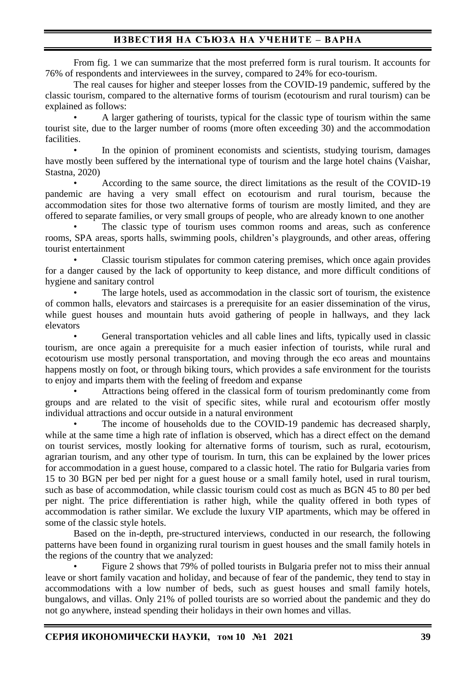# **ИЗВЕСТИЯ НА СЪЮЗА НА УЧЕНИТЕ – ВАРНА**

From fig. 1 we can summarize that the most preferred form is rural tourism. It accounts for 76% of respondents and interviewees in the survey, compared to 24% for eco-tourism.

The real causes for higher and steeper losses from the COVID-19 pandemic, suffered by the classic tourism, compared to the alternative forms of tourism (ecotourism and rural tourism) can be explained as follows:

• A larger gathering of tourists, typical for the classic type of tourism within the same tourist site, due to the larger number of rooms (more often exceeding 30) and the accommodation facilities.

In the opinion of prominent economists and scientists, studying tourism, damages have mostly been suffered by the international type of tourism and the large hotel chains (Vaishar, Stastna, 2020)

• According to the same source, the direct limitations as the result of the COVID-19 pandemic are having a very small effect on ecotourism and rural tourism, because the accommodation sites for those two alternative forms of tourism are mostly limited, and they are offered to separate families, or very small groups of people, who are already known to one another

The classic type of tourism uses common rooms and areas, such as conference rooms, SPA areas, sports halls, swimming pools, children's playgrounds, and other areas, offering tourist entertainment

• Classic tourism stipulates for common catering premises, which once again provides for a danger caused by the lack of opportunity to keep distance, and more difficult conditions of hygiene and sanitary control

The large hotels, used as accommodation in the classic sort of tourism, the existence of common halls, elevators and staircases is a prerequisite for an easier dissemination of the virus, while guest houses and mountain huts avoid gathering of people in hallways, and they lack elevators

• General transportation vehicles and all cable lines and lifts, typically used in classic tourism, are once again a prerequisite for a much easier infection of tourists, while rural and ecotourism use mostly personal transportation, and moving through the eco areas and mountains happens mostly on foot, or through biking tours, which provides a safe environment for the tourists to enjoy and imparts them with the feeling of freedom and expanse

• Attractions being offered in the classical form of tourism predominantly come from groups and are related to the visit of specific sites, while rural and ecotourism offer mostly individual attractions and occur outside in a natural environment

The income of households due to the COVID-19 pandemic has decreased sharply, while at the same time a high rate of inflation is observed, which has a direct effect on the demand on tourist services, mostly looking for alternative forms of tourism, such as rural, ecotourism, agrarian tourism, and any other type of tourism. In turn, this can be explained by the lower prices for accommodation in a guest house, compared to a classic hotel. The ratio for Bulgaria varies from 15 to 30 BGN per bed per night for a guest house or a small family hotel, used in rural tourism, such as base of accommodation, while classic tourism could cost as much as BGN 45 to 80 per bed per night. The price differentiation is rather high, while the quality offered in both types of accommodation is rather similar. We exclude the luxury VIP apartments, which may be offered in some of the classic style hotels.

Based on the in-depth, pre-structured interviews, conducted in our research, the following patterns have been found in organizing rural tourism in guest houses and the small family hotels in the regions of the country that we analyzed:

• Figure 2 shows that 79% of polled tourists in Bulgaria prefer not to miss their annual leave or short family vacation and holiday, and because of fear of the pandemic, they tend to stay in accommodations with a low number of beds, such as guest houses and small family hotels, bungalows, and villas. Only 21% of polled tourists are so worried about the pandemic and they do not go anywhere, instead spending their holidays in their own homes and villas.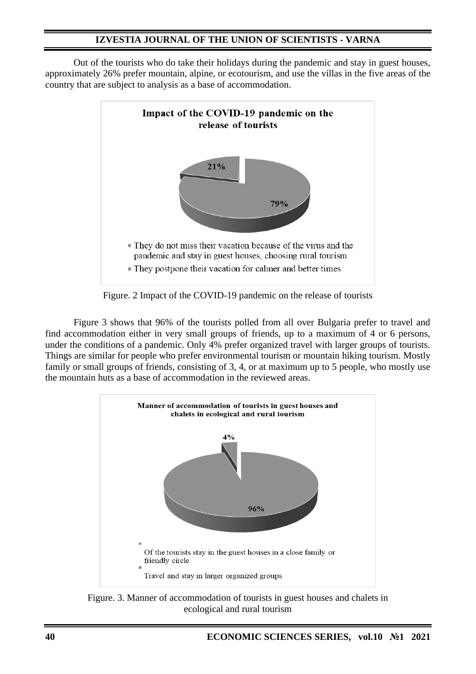## **IZVESTIA JOURNAL OF THE UNION OF SCIENTISTS - VARNA**

Out of the tourists who do take their holidays during the pandemic and stay in guest houses, approximately 26% prefer mountain, alpine, or ecotourism, and use the villas in the five areas of the country that are subject to analysis as a base of accommodation.



Figure. 2 Impact of the COVID-19 pandemic on the release of tourists

Figure 3 shows that 96% of the tourists polled from all over Bulgaria prefer to travel and find accommodation either in very small groups of friends, up to a maximum of 4 or 6 persons, under the conditions of a pandemic. Only 4% prefer organized travel with larger groups of tourists. Things are similar for people who prefer environmental tourism or mountain hiking tourism. Mostly family or small groups of friends, consisting of 3, 4, or at maximum up to 5 people, who mostly use the mountain huts as a base of accommodation in the reviewed areas.



Figure. 3. Manner of accommodation of tourists in guest houses and chalets in ecological and rural tourism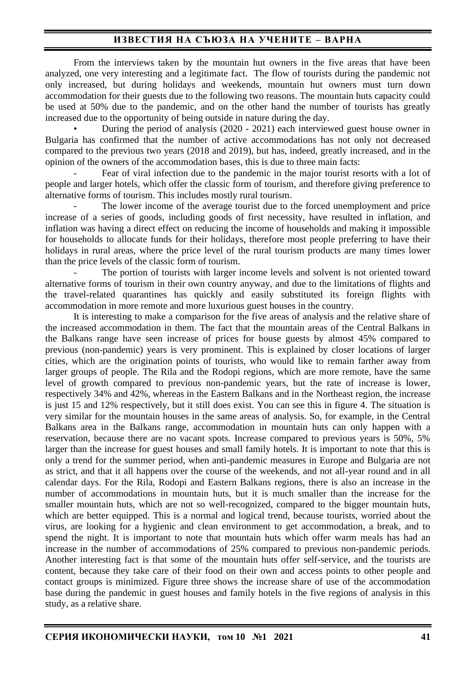# **ИЗВЕСТИЯ НА СЪЮЗА НА УЧЕНИТЕ – ВАРНА**

From the interviews taken by the mountain hut owners in the five areas that have been analyzed, one very interesting and a legitimate fact. The flow of tourists during the pandemic not only increased, but during holidays and weekends, mountain hut owners must turn down accommodation for their guests due to the following two reasons. The mountain huts capacity could be used at 50% due to the pandemic, and on the other hand the number of tourists has greatly increased due to the opportunity of being outside in nature during the day.

• During the period of analysis (2020 - 2021) each interviewed guest house owner in Bulgaria has confirmed that the number of active accommodations has not only not decreased compared to the previous two years (2018 and 2019), but has, indeed, greatly increased, and in the opinion of the owners of the accommodation bases, this is due to three main facts:

Fear of viral infection due to the pandemic in the major tourist resorts with a lot of people and larger hotels, which offer the classic form of tourism, and therefore giving preference to alternative forms of tourism. This includes mostly rural tourism.

The lower income of the average tourist due to the forced unemployment and price increase of a series of goods, including goods of first necessity, have resulted in inflation, and inflation was having a direct effect on reducing the income of households and making it impossible for households to allocate funds for their holidays, therefore most people preferring to have their holidays in rural areas, where the price level of the rural tourism products are many times lower than the price levels of the classic form of tourism.

The portion of tourists with larger income levels and solvent is not oriented toward alternative forms of tourism in their own country anyway, and due to the limitations of flights and the travel-related quarantines has quickly and easily substituted its foreign flights with accommodation in more remote and more luxurious guest houses in the country.

It is interesting to make a comparison for the five areas of analysis and the relative share of the increased accommodation in them. The fact that the mountain areas of the Central Balkans in the Balkans range have seen increase of prices for house guests by almost 45% compared to previous (non-pandemic) years is very prominent. This is explained by closer locations of larger cities, which are the origination points of tourists, who would like to remain farther away from larger groups of people. The Rila and the Rodopi regions, which are more remote, have the same level of growth compared to previous non-pandemic years, but the rate of increase is lower, respectively 34% and 42%, whereas in the Eastern Balkans and in the Northeast region, the increase is just 15 and 12% respectively, but it still does exist. You can see this in figure 4. The situation is very similar for the mountain houses in the same areas of analysis. So, for example, in the Central Balkans area in the Balkans range, accommodation in mountain huts can only happen with a reservation, because there are no vacant spots. Increase compared to previous years is 50%, 5% larger than the increase for guest houses and small family hotels. It is important to note that this is only a trend for the summer period, when anti-pandemic measures in Europe and Bulgaria are not as strict, and that it all happens over the course of the weekends, and not all-year round and in all calendar days. For the Rila, Rodopi and Eastern Balkans regions, there is also an increase in the number of accommodations in mountain huts, but it is much smaller than the increase for the smaller mountain huts, which are not so well-recognized, compared to the bigger mountain huts, which are better equipped. This is a normal and logical trend, because tourists, worried about the virus, are looking for a hygienic and clean environment to get accommodation, a break, and to spend the night. It is important to note that mountain huts which offer warm meals has had an increase in the number of accommodations of 25% compared to previous non-pandemic periods. Another interesting fact is that some of the mountain huts offer self-service, and the tourists are content, because they take care of their food on their own and access points to other people and contact groups is minimized. Figure three shows the increase share of use of the accommodation base during the pandemic in guest houses and family hotels in the five regions of analysis in this study, as a relative share.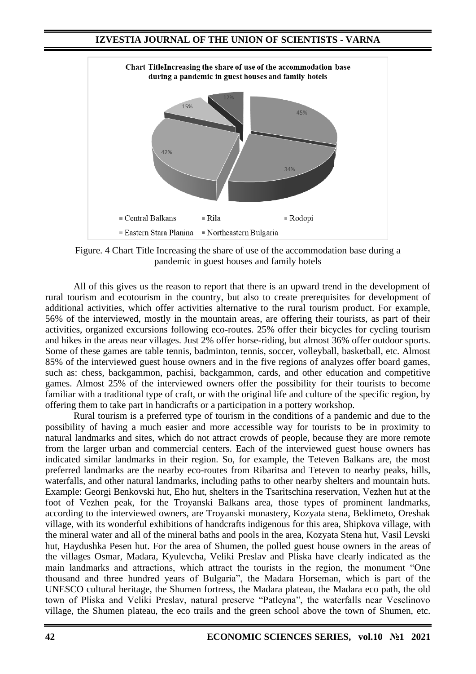## **IZVESTIA JOURNAL OF THE UNION OF SCIENTISTS - VARNA**



Figure. 4 Chart Title Increasing the share of use of the accommodation base during a pandemic in guest houses and family hotels

All of this gives us the reason to report that there is an upward trend in the development of rural tourism and ecotourism in the country, but also to create prerequisites for development of additional activities, which offer activities alternative to the rural tourism product. For example, 56% of the interviewed, mostly in the mountain areas, are offering their tourists, as part of their activities, organized excursions following eco-routes. 25% offer their bicycles for cycling tourism and hikes in the areas near villages. Just 2% offer horse-riding, but almost 36% offer outdoor sports. Some of these games are table tennis, badminton, tennis, soccer, volleyball, basketball, etc. Almost 85% of the interviewed guest house owners and in the five regions of analyzes offer board games, such as: chess, backgammon, pachisi, backgammon, cards, and other education and competitive games. Almost 25% of the interviewed owners offer the possibility for their tourists to become familiar with a traditional type of craft, or with the original life and culture of the specific region, by offering them to take part in handicrafts or a participation in a pottery workshop.

Rural tourism is a preferred type of tourism in the conditions of a pandemic and due to the possibility of having a much easier and more accessible way for tourists to be in proximity to natural landmarks and sites, which do not attract crowds of people, because they are more remote from the larger urban and commercial centers. Each of the interviewed guest house owners has indicated similar landmarks in their region. So, for example, the Teteven Balkans are, the most preferred landmarks are the nearby eco-routes from Ribaritsa and Teteven to nearby peaks, hills, waterfalls, and other natural landmarks, including paths to other nearby shelters and mountain huts. Example: Georgi Benkovski hut, Eho hut, shelters in the Tsaritschina reservation, Vezhen hut at the foot of Vezhen peak, for the Troyanski Balkans area, those types of prominent landmarks, according to the interviewed owners, are Troyanski monastery, Kozyata stena, Beklimeto, Oreshak village, with its wonderful exhibitions of handcrafts indigenous for this area, Shipkova village, with the mineral water and all of the mineral baths and pools in the area, Kozyata Stena hut, Vasil Levski hut, Haydushka Pesen hut. For the area of Shumen, the polled guest house owners in the areas of the villages Osmar, Madara, Kyulevcha, Veliki Preslav and Pliska have clearly indicated as the main landmarks and attractions, which attract the tourists in the region, the monument "One thousand and three hundred years of Bulgaria", the Madara Horseman, which is part of the UNESCO cultural heritage, the Shumen fortress, the Madara plateau, the Madara eco path, the old town of Pliska and Veliki Preslav, natural preserve "Patleyna", the waterfalls near Veselinovo village, the Shumen plateau, the eco trails and the green school above the town of Shumen, etc.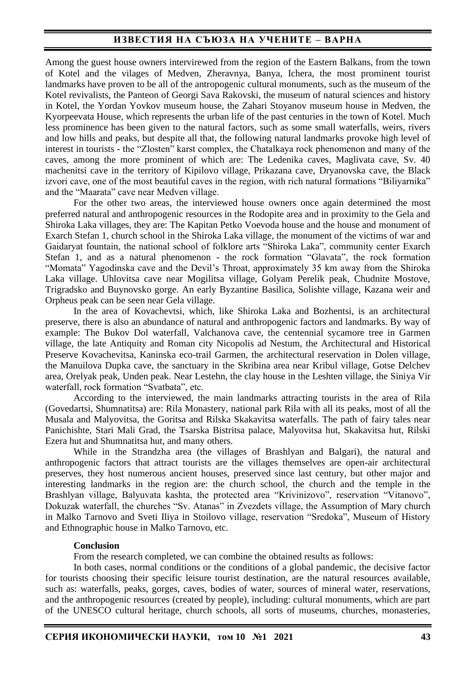## **ИЗВЕСТИЯ НА СЪЮЗА НА УЧЕНИТЕ – ВАРНА**

Among the guest house owners intervirewed from the region of the Eastern Balkans, from the town of Kotel and the vilages of Medven, Zheravnya, Banya, Ichera, the most prominent tourist landmarks have proven to be all of the antropogenic cultural monuments, such as the museum of the Kotel revivalists, the Panteon of Georgi Sava Rakovski, the museum of natural sciences and history in Kotel, the Yordan Yovkov museum house, the Zahari Stoyanov museum house in Medven, the Kyorpeevata House, which represents the urban life of the past centuries in the town of Kotel. Much less prominence has been given to the natural factors, such as some small waterfalls, weirs, rivers and low hills and peaks, but despite all that, the following natural landmarks provoke high level of interest in tourists - the "Zlosten" karst complex, the Chatalkaya rock phenomenon and many of the caves, among the more prominent of which are: The Ledenika caves, Maglivata cave, Sv. 40 machenitsi cave in the territory of Kipilovo village, Prikazana cave, Dryanovska cave, the Black izvori cave, one of the most beautiful caves in the region, with rich natural formations "Biliyarnika" and the "Maarata" cave near Medven village.

For the other two areas, the interviewed house owners once again determined the most preferred natural and anthropogenic resources in the Rodopite area and in proximity to the Gela and Shiroka Laka villages, they are: The Kapitan Petko Voevoda house and the house and monument of Exarch Stefan 1, church school in the Shiroka Laka village, the monument of the victims of war and Gaidaryat fountain, the national school of folklore arts "Shiroka Laka", community center Exarch Stefan 1, and as a natural phenomenon - the rock formation "Glavata", the rock formation "Momata" Yagodinska cave and the Devil's Throat, approximately 35 km away from the Shiroka Laka village. Uhlovitsa cave near Mogilitsa village, Golyam Perelik peak, Chudnite Mostove, Trigradsko and Buynovsko gorge. An early Byzantine Basilica, Solishte village, Kazana weir and Orpheus peak can be seen near Gela village.

In the area of Kovachevtsi, which, like Shiroka Laka and Bozhentsi, is an architectural preserve, there is also an abundance of natural and anthropogenic factors and landmarks. By way of example: The Bukov Dol waterfall, Valchanova cave, the centennial sycamore tree in Garmen village, the late Antiquity and Roman city Nicopolis ad Nestum, the Architectural and Historical Preserve Kovachevitsa, Kaninska eco-trail Garmen, the architectural reservation in Dolen village, the Manuilova Dupka cave, the sanctuary in the Skribina area near Kribul village, Gotse Delchev area, Orelyak peak, Unden peak. Near Lestehn, the clay house in the Leshten village, the Siniya Vir waterfall, rock formation "Svatbata", etc.

According to the interviewed, the main landmarks attracting tourists in the area of Rila (Govedartsi, Shumnatitsa) are: Rila Monastery, national park Rila with all its peaks, most of all the Musala and Malyovitsa, the Goritsa and Rilska Skakavitsa waterfalls. The path of fairy tales near Panichishte, Stari Mali Grad, the Tsarska Bistritsa palace, Malyovitsa hut, Skakavitsa hut, Rilski Ezera hut and Shumnatitsa hut, and many others.

While in the Strandzha area (the villages of Brashlyan and Balgari), the natural and anthropogenic factors that attract tourists are the villages themselves are open-air architectural preserves, they host numerous ancient houses, preserved since last century, but other major and interesting landmarks in the region are: the church school, the church and the temple in the Brashlyan village, Balyuvata kashta, the protected area "Krivinizovo", reservation "Vitanovo", Dokuzak waterfall, the churches "Sv. Atanas" in Zvezdets village, the Assumption of Mary church in Malko Tarnovo and Sveti Iliya in Stoilovo village, reservation "Sredoka", Museum of History and Ethnographic house in Malko Tarnovo, etc.

#### **Conclusion**

From the research completed, we can combine the obtained results as follows:

In both cases, normal conditions or the conditions of a global pandemic, the decisive factor for tourists choosing their specific leisure tourist destination, are the natural resources available, such as: waterfalls, peaks, gorges, caves, bodies of water, sources of mineral water, reservations, and the anthropogenic resources (created by people), including: cultural monuments, which are part of the UNESCO cultural heritage, church schools, all sorts of museums, churches, monasteries,